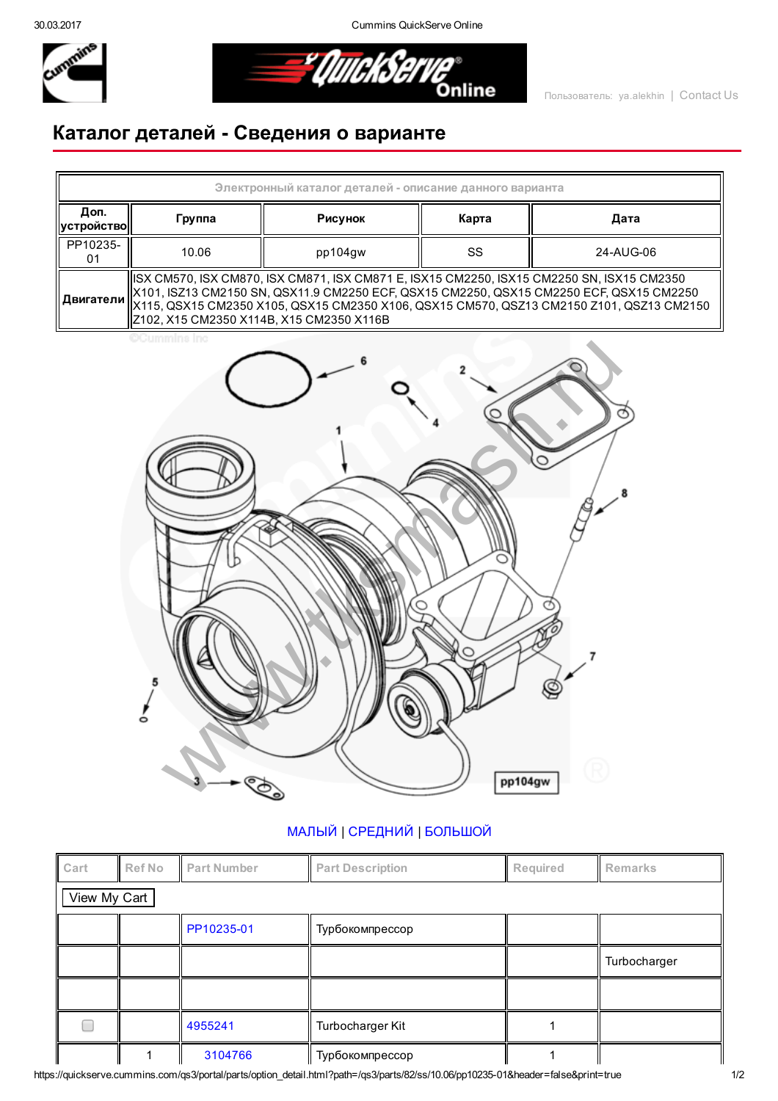30.03.2017 Cummins QuickServe Online



<u>=\* QuickServi</u> .<br>Online

## Каталог деталей Сведения о варианте



## [МАЛЫЙ](javascript:swap_img() | [СРЕДНИЙ](javascript:swap_img() | [БОЛЬШОЙ](javascript:swap_img()

| Cart         | Ref No | <b>Part Number</b> | <b>Part Description</b> | Required | Remarks      |  |  |  |  |
|--------------|--------|--------------------|-------------------------|----------|--------------|--|--|--|--|
| View My Cart |        |                    |                         |          |              |  |  |  |  |
|              |        | PP10235-01         | Турбокомпрессор         |          |              |  |  |  |  |
|              |        |                    |                         |          | Turbocharger |  |  |  |  |
|              |        |                    |                         |          |              |  |  |  |  |
|              |        | 4955241            | Turbocharger Kit        |          |              |  |  |  |  |
|              |        | 3104766            | Турбокомпрессор         |          |              |  |  |  |  |

https://quickserve.cummins.com/qs3/portal/parts/option\_detail.html?path=/qs3/parts/82/ss/10.06/pp10235-01&header=false&print=true 1/2